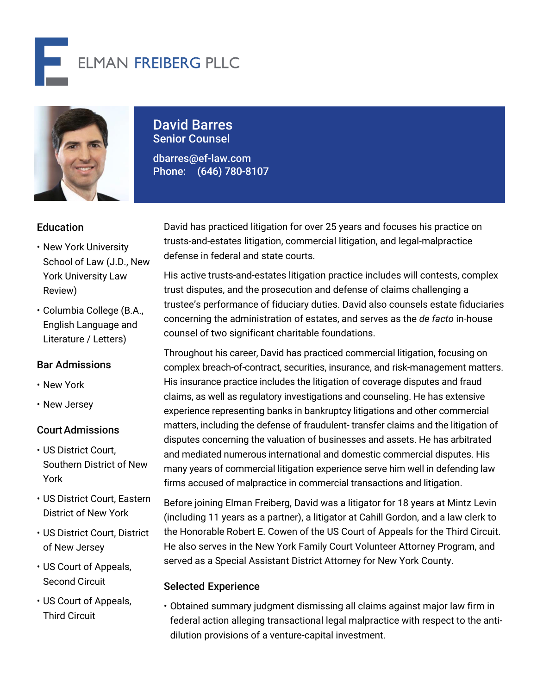



# David Barres Senior Counsel

dbarres@ef-law.com Phone: (646) 780-8107

## **Education**

- New York University School of Law (J.D., New York University Law Review)
- Columbia College (B.A., English Language and Literature / Letters)

## Bar Admissions

- New York
- New Jersey

## CourtAdmissions

- US District Court, Southern District of New York
- US District Court, Eastern District of New York
- US District Court, District of New Jersey
- US Court of Appeals, Second Circuit
- US Court of Appeals, Third Circuit

David has practiced litigation for over 25 years and focuses his practice on trusts-and-estates litigation, commercial litigation, and legal-malpractice defense in federal and state courts.

His active trusts-and-estates litigation practice includes will contests, complex trust disputes, and the prosecution and defense of claims challenging a trustee's performance of fiduciary duties. David also counsels estate fiduciaries concerning the administration of estates, and serves as the *de facto* in-house counsel of two significant charitable foundations.

Throughout his career, David has practiced commercial litigation, focusing on complex breach-of-contract, securities, insurance, and risk-management matters. His insurance practice includes the litigation of coverage disputes and fraud claims, as well as regulatory investigations and counseling. He has extensive experience representing banks in bankruptcy litigations and other commercial matters, including the defense of fraudulent- transfer claims and the litigation of disputes concerning the valuation of businesses and assets. He has arbitrated and mediated numerous international and domestic commercial disputes. His many years of commercial litigation experience serve him well in defending law firms accused of malpractice in commercial transactions and litigation.

Before joining Elman Freiberg, David was a litigator for 18 years at Mintz Levin (including 11 years as a partner), a litigator at Cahill Gordon, and a law clerk to the Honorable Robert E. Cowen of the US Court of Appeals for the Third Circuit. He also serves in the New York Family Court Volunteer Attorney Program, and served as a Special Assistant District Attorney for New York County.

#### Selected Experience

• Obtained summary judgment dismissing all claims against major law firm in federal action alleging transactional legal malpractice with respect to the antidilution provisions of a venture-capital investment.